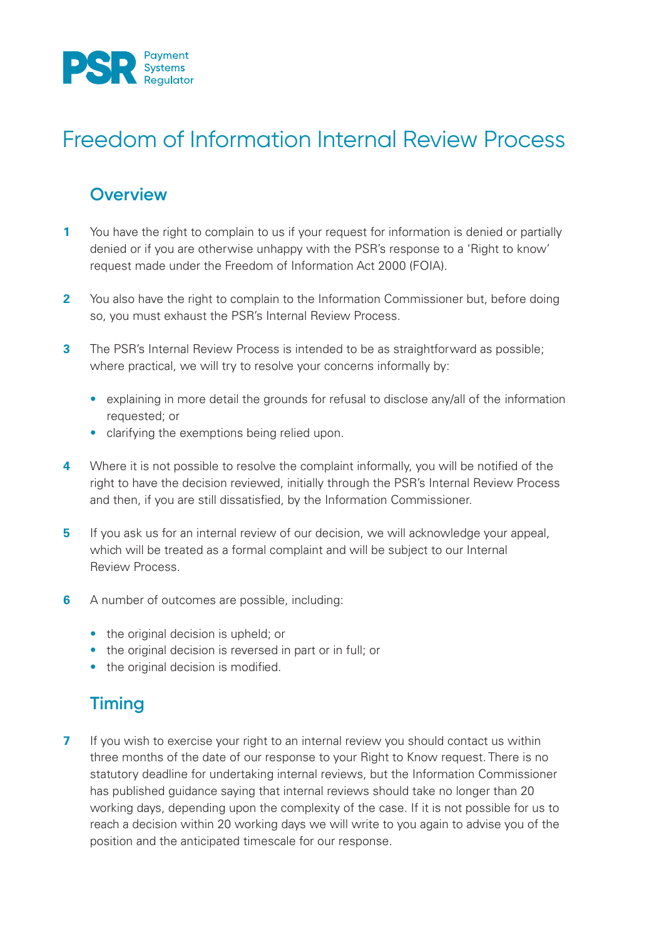

# Freedom of Information Internal Review Process

#### **Overview**

- **1** You have the right to complain to us if your request for information is denied or partially denied or if you are otherwise unhappy with the PSR's response to a 'Right to know' request made under the Freedom of Information Act 2000 (FOIA).
- **2** You also have the right to complain to the Information Commissioner but, before doing so, you must exhaust the PSR's Internal Review Process.
- **3** The PSR's Internal Review Process is intended to be as straightforward as possible; where practical, we will try to resolve your concerns informally by:
	- explaining in more detail the grounds for refusal to disclose any/all of the information requested; or
	- clarifying the exemptions being relied upon.
- **4** Where it is not possible to resolve the complaint informally, you will be notified of the right to have the decision reviewed, initially through the PSR's Internal Review Process and then, if you are still dissatisfied, by the Information Commissioner.
- **5** If you ask us for an internal review of our decision, we will acknowledge your appeal, which will be treated as a formal complaint and will be subject to our Internal Review Process.
- **6** A number of outcomes are possible, including:
	- the original decision is upheld; or
	- the original decision is reversed in part or in full; or
	- the original decision is modified.

## **Timing**

**7** If you wish to exercise your right to an internal review you should contact us within three months of the date of our response to your Right to Know request. There is no statutory deadline for undertaking internal reviews, but the Information Commissioner has published guidance saying that internal reviews should take no longer than 20 working days, depending upon the complexity of the case. If it is not possible for us to reach a decision within 20 working days we will write to you again to advise you of the position and the anticipated timescale for our response.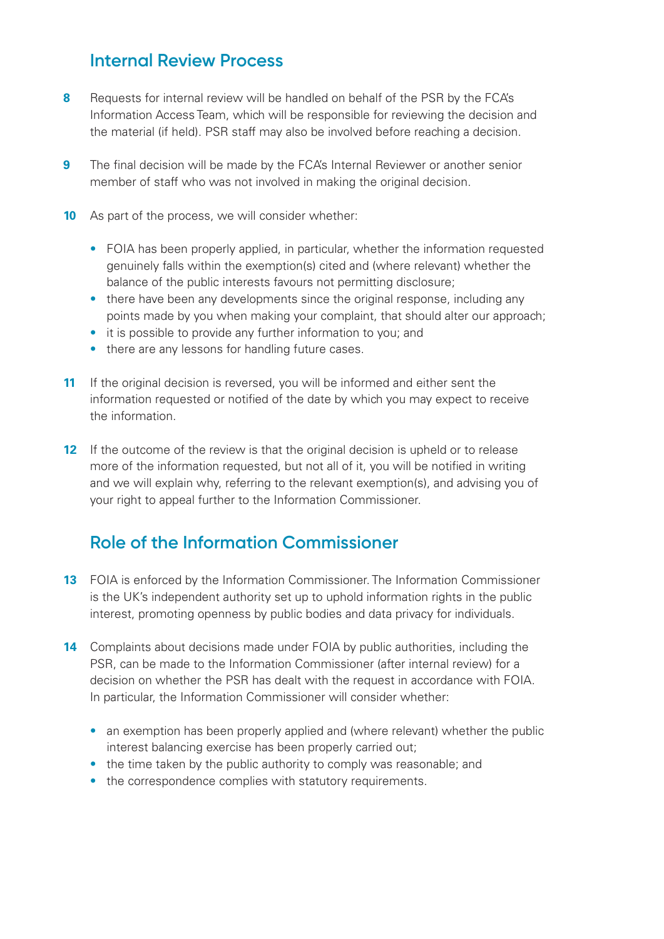### **Internal Review Process**

- **8** Requests for internal review will be handled on behalf of the PSR by the FCA's Information Access Team, which will be responsible for reviewing the decision and the material (if held). PSR staff may also be involved before reaching a decision.
- **9** The final decision will be made by the FCA's Internal Reviewer or another senior member of staff who was not involved in making the original decision.
- **10** As part of the process, we will consider whether:
	- FOIA has been properly applied, in particular, whether the information requested genuinely falls within the exemption(s) cited and (where relevant) whether the balance of the public interests favours not permitting disclosure;
	- there have been any developments since the original response, including any points made by you when making your complaint, that should alter our approach;
	- it is possible to provide any further information to you; and
	- there are any lessons for handling future cases.
- **11** If the original decision is reversed, you will be informed and either sent the information requested or notified of the date by which you may expect to receive the information.
- **12** If the outcome of the review is that the original decision is upheld or to release more of the information requested, but not all of it, you will be notified in writing and we will explain why, referring to the relevant exemption(s), and advising you of your right to appeal further to the Information Commissioner.

## **Role of the Information Commissioner**

- **13** FOIA is enforced by the Information Commissioner. The Information Commissioner is the UK's independent authority set up to uphold information rights in the public interest, promoting openness by public bodies and data privacy for individuals.
- **14** Complaints about decisions made under FOIA by public authorities, including the PSR, can be made to the Information Commissioner (after internal review) for a decision on whether the PSR has dealt with the request in accordance with FOIA. In particular, the Information Commissioner will consider whether:
	- an exemption has been properly applied and (where relevant) whether the public interest balancing exercise has been properly carried out;
	- the time taken by the public authority to comply was reasonable; and
	- the correspondence complies with statutory requirements.